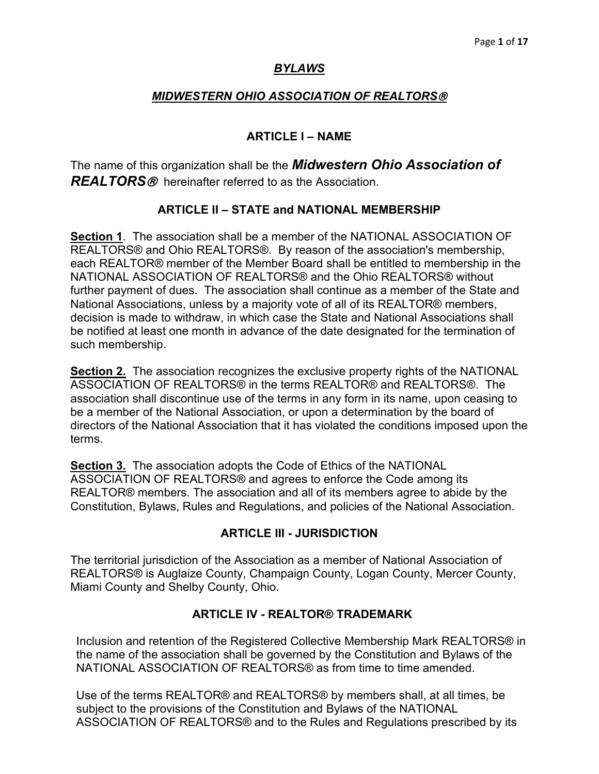# *BYLAWS*

# *MIDWESTERN OHIO ASSOCIATION OF REALTORS*

# **ARTICLE I – NAME**

The name of this organization shall be the *Midwestern Ohio Association of REALTORS* hereinafter referred to as the Association.

# **ARTICLE II – STATE and NATIONAL MEMBERSHIP**

**Section 1**. The association shall be a member of the NATIONAL ASSOCIATION OF REALTORS® and Ohio REALTORS®. By reason of the association's membership, each REALTOR® member of the Member Board shall be entitled to membership in the NATIONAL ASSOCIATION OF REALTORS® and the Ohio REALTORS® without further payment of dues. The association shall continue as a member of the State and National Associations, unless by a majority vote of all of its REALTOR® members, decision is made to withdraw, in which case the State and National Associations shall be notified at least one month in advance of the date designated for the termination of such membership.

**Section 2.** The association recognizes the exclusive property rights of the NATIONAL ASSOCIATION OF REALTORS® in the terms REALTOR® and REALTORS®. The association shall discontinue use of the terms in any form in its name, upon ceasing to be a member of the National Association, or upon a determination by the board of directors of the National Association that it has violated the conditions imposed upon the terms.

**Section 3.** The association adopts the Code of Ethics of the NATIONAL ASSOCIATION OF REALTORS® and agrees to enforce the Code among its REALTOR® members. The association and all of its members agree to abide by the Constitution, Bylaws, Rules and Regulations, and policies of the National Association.

## **ARTICLE III - JURISDICTION**

The territorial jurisdiction of the Association as a member of National Association of REALTORS® is Auglaize County, Champaign County, Logan County, Mercer County, Miami County and Shelby County, Ohio.

## **ARTICLE IV - REALTOR® TRADEMARK**

Inclusion and retention of the Registered Collective Membership Mark REALTORS® in the name of the association shall be governed by the Constitution and Bylaws of the NATIONAL ASSOCIATION OF REALTORS® as from time to time amended.

Use of the terms REALTOR® and REALTORS® by members shall, at all times, be subject to the provisions of the Constitution and Bylaws of the NATIONAL ASSOCIATION OF REALTORS® and to the Rules and Regulations prescribed by its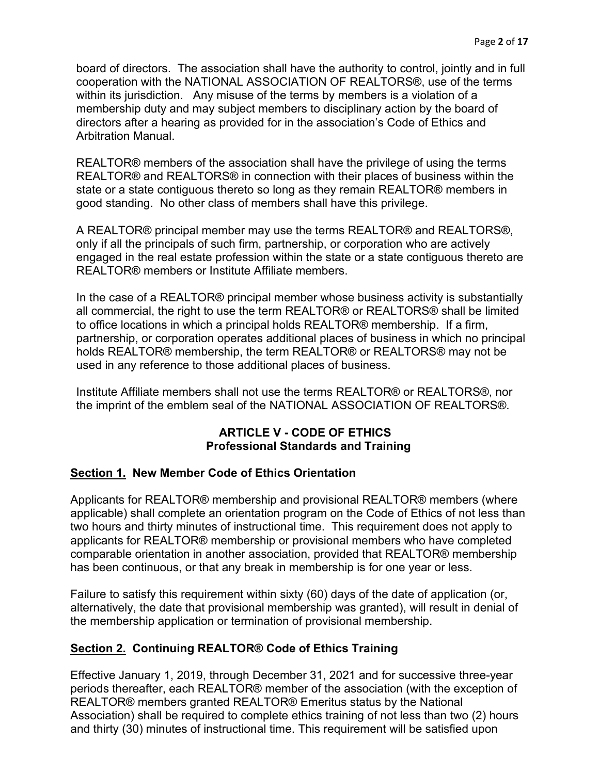board of directors. The association shall have the authority to control, jointly and in full cooperation with the NATIONAL ASSOCIATION OF REALTORS®, use of the terms within its jurisdiction. Any misuse of the terms by members is a violation of a membership duty and may subject members to disciplinary action by the board of directors after a hearing as provided for in the association's Code of Ethics and Arbitration Manual.

REALTOR® members of the association shall have the privilege of using the terms REALTOR® and REALTORS® in connection with their places of business within the state or a state contiguous thereto so long as they remain REALTOR® members in good standing. No other class of members shall have this privilege.

A REALTOR® principal member may use the terms REALTOR® and REALTORS®, only if all the principals of such firm, partnership, or corporation who are actively engaged in the real estate profession within the state or a state contiguous thereto are REALTOR® members or Institute Affiliate members.

In the case of a REALTOR® principal member whose business activity is substantially all commercial, the right to use the term REALTOR® or REALTORS® shall be limited to office locations in which a principal holds REALTOR® membership. If a firm, partnership, or corporation operates additional places of business in which no principal holds REALTOR® membership, the term REALTOR® or REALTORS® may not be used in any reference to those additional places of business.

Institute Affiliate members shall not use the terms REALTOR® or REALTORS®, nor the imprint of the emblem seal of the NATIONAL ASSOCIATION OF REALTORS®.

## **ARTICLE V - CODE OF ETHICS Professional Standards and Training**

## **Section 1. New Member Code of Ethics Orientation**

Applicants for REALTOR® membership and provisional REALTOR® members (where applicable) shall complete an orientation program on the Code of Ethics of not less than two hours and thirty minutes of instructional time. This requirement does not apply to applicants for REALTOR® membership or provisional members who have completed comparable orientation in another association, provided that REALTOR® membership has been continuous, or that any break in membership is for one year or less.

Failure to satisfy this requirement within sixty (60) days of the date of application (or, alternatively, the date that provisional membership was granted), will result in denial of the membership application or termination of provisional membership.

# **Section 2. Continuing REALTOR® Code of Ethics Training**

Effective January 1, 2019, through December 31, 2021 and for successive three-year periods thereafter, each REALTOR® member of the association (with the exception of REALTOR® members granted REALTOR® Emeritus status by the National Association) shall be required to complete ethics training of not less than two (2) hours and thirty (30) minutes of instructional time. This requirement will be satisfied upon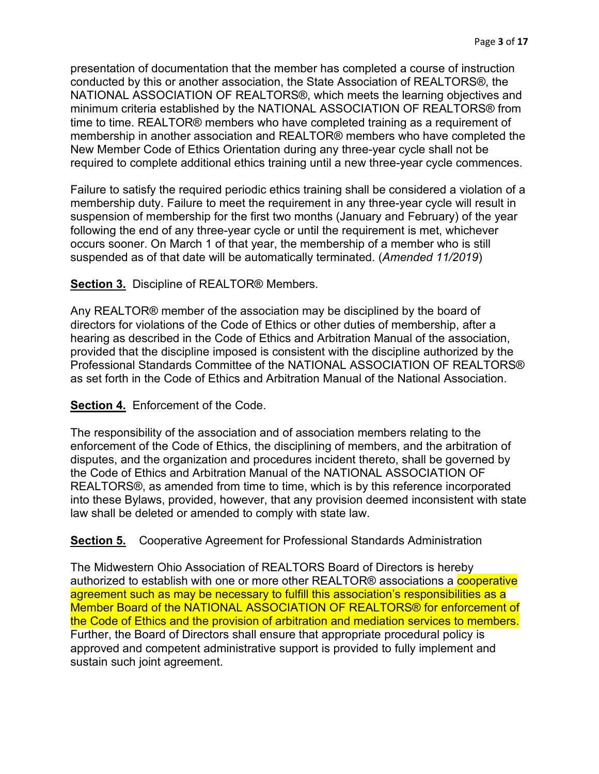presentation of documentation that the member has completed a course of instruction conducted by this or another association, the State Association of REALTORS®, the NATIONAL ASSOCIATION OF REALTORS®, which meets the learning objectives and minimum criteria established by the NATIONAL ASSOCIATION OF REALTORS® from time to time. REALTOR® members who have completed training as a requirement of membership in another association and REALTOR® members who have completed the New Member Code of Ethics Orientation during any three-year cycle shall not be required to complete additional ethics training until a new three-year cycle commences.

Failure to satisfy the required periodic ethics training shall be considered a violation of a membership duty. Failure to meet the requirement in any three-year cycle will result in suspension of membership for the first two months (January and February) of the year following the end of any three-year cycle or until the requirement is met, whichever occurs sooner. On March 1 of that year, the membership of a member who is still suspended as of that date will be automatically terminated. (*Amended 11/2019*)

## **Section 3.** Discipline of REALTOR® Members.

Any REALTOR® member of the association may be disciplined by the board of directors for violations of the Code of Ethics or other duties of membership, after a hearing as described in the Code of Ethics and Arbitration Manual of the association, provided that the discipline imposed is consistent with the discipline authorized by the Professional Standards Committee of the NATIONAL ASSOCIATION OF REALTORS® as set forth in the Code of Ethics and Arbitration Manual of the National Association.

#### **Section 4.** Enforcement of the Code.

The responsibility of the association and of association members relating to the enforcement of the Code of Ethics, the disciplining of members, and the arbitration of disputes, and the organization and procedures incident thereto, shall be governed by the Code of Ethics and Arbitration Manual of the NATIONAL ASSOCIATION OF REALTORS®, as amended from time to time, which is by this reference incorporated into these Bylaws, provided, however, that any provision deemed inconsistent with state law shall be deleted or amended to comply with state law.

#### **Section 5.** Cooperative Agreement for Professional Standards Administration

The Midwestern Ohio Association of REALTORS Board of Directors is hereby authorized to establish with one or more other REALTOR® associations a **cooperative** agreement such as may be necessary to fulfill this association's responsibilities as a Member Board of the NATIONAL ASSOCIATION OF REALTORS® for enforcement of the Code of Ethics and the provision of arbitration and mediation services to members. Further, the Board of Directors shall ensure that appropriate procedural policy is approved and competent administrative support is provided to fully implement and sustain such joint agreement.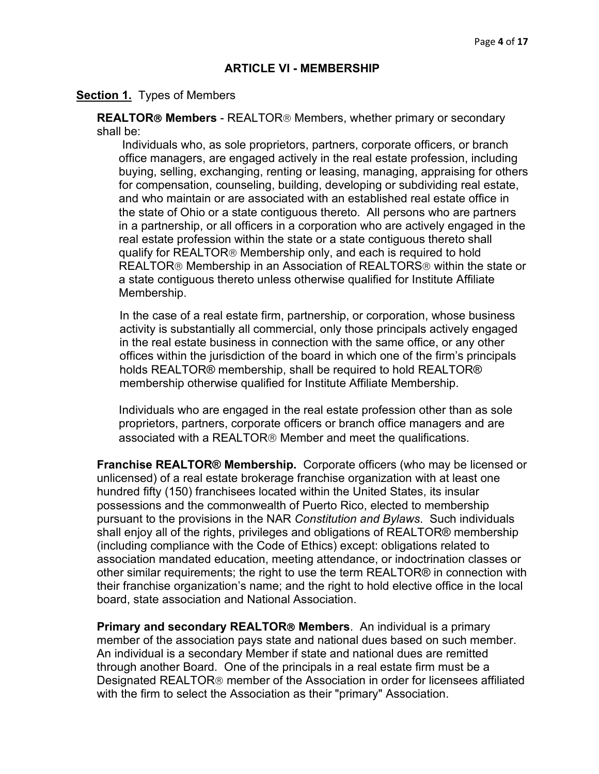### **ARTICLE VI - MEMBERSHIP**

#### **Section 1.** Types of Members

**REALTOR® Members** - REALTOR® Members, whether primary or secondary shall be:

Individuals who, as sole proprietors, partners, corporate officers, or branch office managers, are engaged actively in the real estate profession, including buying, selling, exchanging, renting or leasing, managing, appraising for others for compensation, counseling, building, developing or subdividing real estate, and who maintain or are associated with an established real estate office in the state of Ohio or a state contiguous thereto. All persons who are partners in a partnership, or all officers in a corporation who are actively engaged in the real estate profession within the state or a state contiguous thereto shall qualify for REALTOR® Membership only, and each is required to hold REALTOR<sup>®</sup> Membership in an Association of REALTORS<sup>®</sup> within the state or a state contiguous thereto unless otherwise qualified for Institute Affiliate Membership.

In the case of a real estate firm, partnership, or corporation, whose business activity is substantially all commercial, only those principals actively engaged in the real estate business in connection with the same office, or any other offices within the jurisdiction of the board in which one of the firm's principals holds REALTOR® membership, shall be required to hold REALTOR® membership otherwise qualified for Institute Affiliate Membership.

Individuals who are engaged in the real estate profession other than as sole proprietors, partners, corporate officers or branch office managers and are associated with a REALTOR<sup>®</sup> Member and meet the qualifications.

**Franchise REALTOR® Membership.** Corporate officers (who may be licensed or unlicensed) of a real estate brokerage franchise organization with at least one hundred fifty (150) franchisees located within the United States, its insular possessions and the commonwealth of Puerto Rico, elected to membership pursuant to the provisions in the NAR *Constitution and Bylaws*. Such individuals shall enjoy all of the rights, privileges and obligations of REALTOR® membership (including compliance with the Code of Ethics) except: obligations related to association mandated education, meeting attendance, or indoctrination classes or other similar requirements; the right to use the term REALTOR® in connection with their franchise organization's name; and the right to hold elective office in the local board, state association and National Association.

**Primary and secondary REALTOR<sup>®</sup> Members**. An individual is a primary member of the association pays state and national dues based on such member. An individual is a secondary Member if state and national dues are remitted through another Board. One of the principals in a real estate firm must be a Designated REALTOR<sup>®</sup> member of the Association in order for licensees affiliated with the firm to select the Association as their "primary" Association.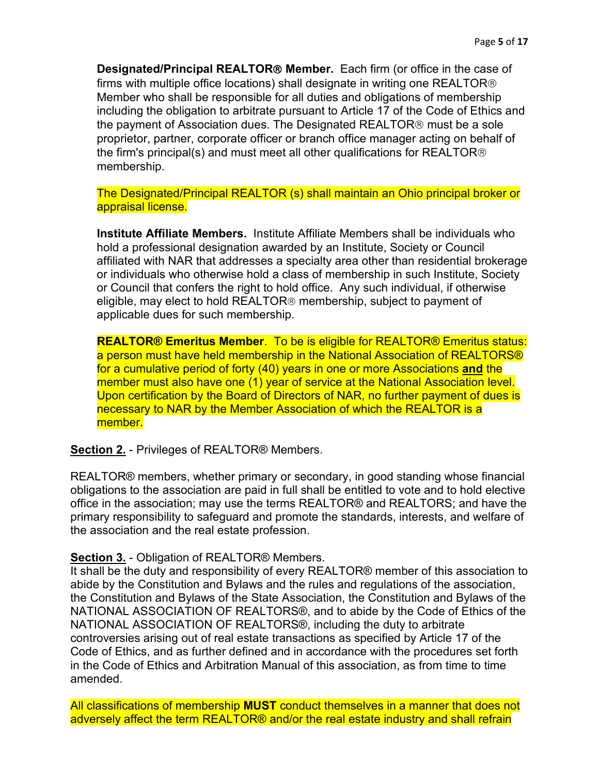**Designated/Principal REALTOR Member.** Each firm (or office in the case of firms with multiple office locations) shall designate in writing one REALTOR Member who shall be responsible for all duties and obligations of membership including the obligation to arbitrate pursuant to Article 17 of the Code of Ethics and the payment of Association dues. The Designated REALTOR<sup>®</sup> must be a sole proprietor, partner, corporate officer or branch office manager acting on behalf of the firm's principal(s) and must meet all other qualifications for REALTOR<sup>®</sup> membership.

The Designated/Principal REALTOR (s) shall maintain an Ohio principal broker or appraisal license*.*

**Institute Affiliate Members.** Institute Affiliate Members shall be individuals who hold a professional designation awarded by an Institute, Society or Council affiliated with NAR that addresses a specialty area other than residential brokerage or individuals who otherwise hold a class of membership in such Institute, Society or Council that confers the right to hold office. Any such individual, if otherwise eligible, may elect to hold REALTOR<sup>®</sup> membership, subject to payment of applicable dues for such membership.

**REALTOR® Emeritus Member**. To be is eligible for REALTOR® Emeritus status: a person must have held membership in the National Association of REALTORS® for a cumulative period of forty (40) years in one or more Associations **and** the member must also have one (1) year of service at the National Association level. Upon certification by the Board of Directors of NAR, no further payment of dues is necessary to NAR by the Member Association of which the REALTOR is a member.

#### **Section 2.** - Privileges of REALTOR® Members.

REALTOR® members, whether primary or secondary, in good standing whose financial obligations to the association are paid in full shall be entitled to vote and to hold elective office in the association; may use the terms REALTOR® and REALTORS; and have the primary responsibility to safeguard and promote the standards, interests, and welfare of the association and the real estate profession.

#### **Section 3.** - Obligation of REALTOR® Members.

It shall be the duty and responsibility of every REALTOR® member of this association to abide by the Constitution and Bylaws and the rules and regulations of the association, the Constitution and Bylaws of the State Association, the Constitution and Bylaws of the NATIONAL ASSOCIATION OF REALTORS®, and to abide by the Code of Ethics of the NATIONAL ASSOCIATION OF REALTORS®, including the duty to arbitrate controversies arising out of real estate transactions as specified by Article 17 of the Code of Ethics, and as further defined and in accordance with the procedures set forth in the Code of Ethics and Arbitration Manual of this association, as from time to time amended.

All classifications of membership **MUST** conduct themselves in a manner that does not adversely affect the term REALTOR<sup>®</sup> and/or the real estate industry and shall refrain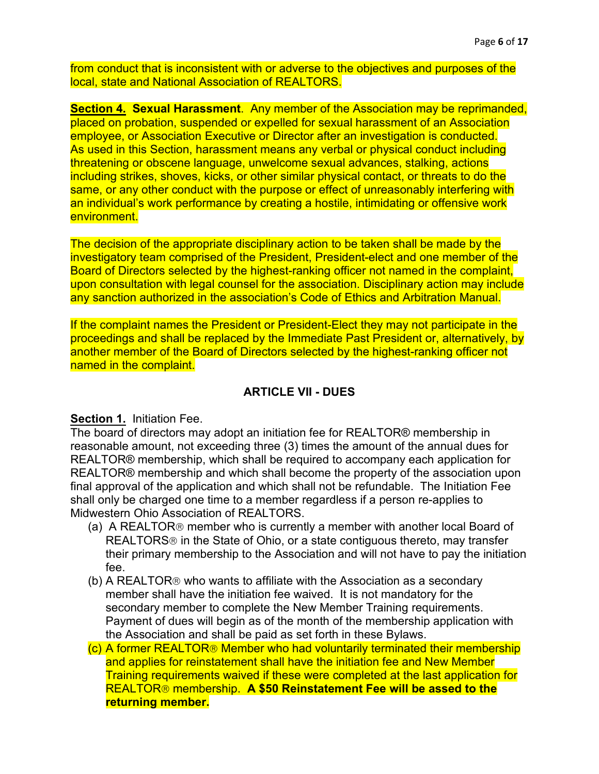from conduct that is inconsistent with or adverse to the objectives and purposes of the local, state and National Association of REALTORS.

**Section 4. Sexual Harassment**. Any member of the Association may be reprimanded, placed on probation, suspended or expelled for sexual harassment of an Association employee, or Association Executive or Director after an investigation is conducted. As used in this Section, harassment means any verbal or physical conduct including threatening or obscene language, unwelcome sexual advances, stalking, actions including strikes, shoves, kicks, or other similar physical contact, or threats to do the same, or any other conduct with the purpose or effect of unreasonably interfering with an individual's work performance by creating a hostile, intimidating or offensive work environment.

The decision of the appropriate disciplinary action to be taken shall be made by the investigatory team comprised of the President, President-elect and one member of the Board of Directors selected by the highest-ranking officer not named in the complaint, upon consultation with legal counsel for the association. Disciplinary action may include any sanction authorized in the association's Code of Ethics and Arbitration Manual.

If the complaint names the President or President-Elect they may not participate in the proceedings and shall be replaced by the Immediate Past President or, alternatively, by another member of the Board of Directors selected by the highest-ranking officer not named in the complaint.

# **ARTICLE VII - DUES**

## **Section 1.** Initiation Fee.

The board of directors may adopt an initiation fee for REALTOR® membership in reasonable amount, not exceeding three (3) times the amount of the annual dues for REALTOR® membership, which shall be required to accompany each application for REALTOR® membership and which shall become the property of the association upon final approval of the application and which shall not be refundable. The Initiation Fee shall only be charged one time to a member regardless if a person re-applies to Midwestern Ohio Association of REALTORS.

- (a) A REALTOR $<sub>®</sub>$  member who is currently a member with another local Board of</sub> REALTORS<sup>®</sup> in the State of Ohio, or a state contiguous thereto, may transfer their primary membership to the Association and will not have to pay the initiation fee.
- (b) A REALTOR<sup>®</sup> who wants to affiliate with the Association as a secondary member shall have the initiation fee waived. It is not mandatory for the secondary member to complete the New Member Training requirements. Payment of dues will begin as of the month of the membership application with the Association and shall be paid as set forth in these Bylaws.
- (c) A former REALTOR<sup>®</sup> Member who had voluntarily terminated their membership and applies for reinstatement shall have the initiation fee and New Member Training requirements waived if these were completed at the last application for REALTOR membership. **A \$50 Reinstatement Fee will be assed to the returning member.**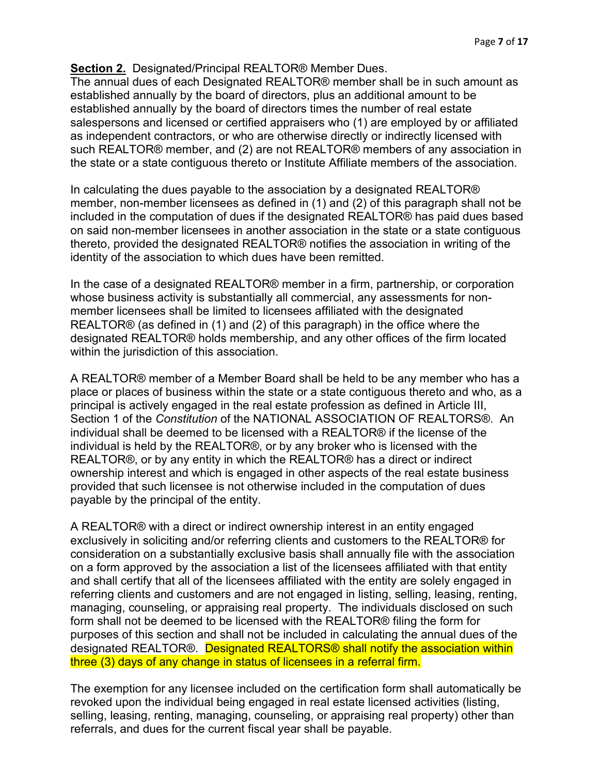# **Section 2.** Designated/Principal REALTOR® Member Dues.

The annual dues of each Designated REALTOR® member shall be in such amount as established annually by the board of directors, plus an additional amount to be established annually by the board of directors times the number of real estate salespersons and licensed or certified appraisers who (1) are employed by or affiliated as independent contractors, or who are otherwise directly or indirectly licensed with such REALTOR® member, and (2) are not REALTOR® members of any association in the state or a state contiguous thereto or Institute Affiliate members of the association.

In calculating the dues payable to the association by a designated REALTOR® member, non-member licensees as defined in (1) and (2) of this paragraph shall not be included in the computation of dues if the designated REALTOR® has paid dues based on said non-member licensees in another association in the state or a state contiguous thereto, provided the designated REALTOR® notifies the association in writing of the identity of the association to which dues have been remitted.

In the case of a designated REALTOR® member in a firm, partnership, or corporation whose business activity is substantially all commercial, any assessments for nonmember licensees shall be limited to licensees affiliated with the designated REALTOR® (as defined in (1) and (2) of this paragraph) in the office where the designated REALTOR® holds membership, and any other offices of the firm located within the jurisdiction of this association.

A REALTOR® member of a Member Board shall be held to be any member who has a place or places of business within the state or a state contiguous thereto and who, as a principal is actively engaged in the real estate profession as defined in Article III, Section 1 of the *Constitution* of the NATIONAL ASSOCIATION OF REALTORS®. An individual shall be deemed to be licensed with a REALTOR® if the license of the individual is held by the REALTOR®, or by any broker who is licensed with the REALTOR®, or by any entity in which the REALTOR® has a direct or indirect ownership interest and which is engaged in other aspects of the real estate business provided that such licensee is not otherwise included in the computation of dues payable by the principal of the entity.

A REALTOR® with a direct or indirect ownership interest in an entity engaged exclusively in soliciting and/or referring clients and customers to the REALTOR® for consideration on a substantially exclusive basis shall annually file with the association on a form approved by the association a list of the licensees affiliated with that entity and shall certify that all of the licensees affiliated with the entity are solely engaged in referring clients and customers and are not engaged in listing, selling, leasing, renting, managing, counseling, or appraising real property. The individuals disclosed on such form shall not be deemed to be licensed with the REALTOR® filing the form for purposes of this section and shall not be included in calculating the annual dues of the designated REALTOR®. Designated REALTORS® shall notify the association within three (3) days of any change in status of licensees in a referral firm.

The exemption for any licensee included on the certification form shall automatically be revoked upon the individual being engaged in real estate licensed activities (listing, selling, leasing, renting, managing, counseling, or appraising real property) other than referrals, and dues for the current fiscal year shall be payable.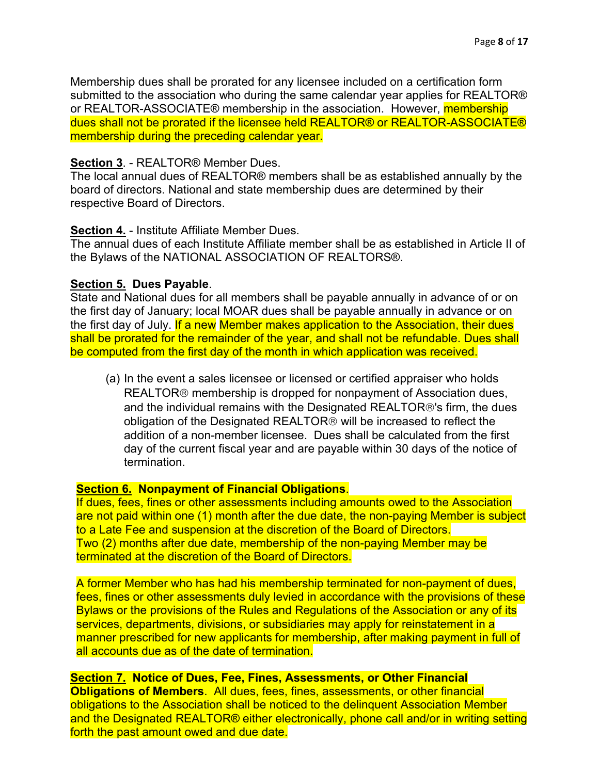Membership dues shall be prorated for any licensee included on a certification form submitted to the association who during the same calendar year applies for REALTOR® or REALTOR-ASSOCIATE® membership in the association. However, membership dues shall not be prorated if the licensee held REALTOR® or REALTOR-ASSOCIATE® membership during the preceding calendar year.

### **Section 3**. - REALTOR® Member Dues.

The local annual dues of REALTOR® members shall be as established annually by the board of directors. National and state membership dues are determined by their respective Board of Directors.

### **Section 4.** - Institute Affiliate Member Dues.

The annual dues of each Institute Affiliate member shall be as established in Article II of the Bylaws of the NATIONAL ASSOCIATION OF REALTORS®.

### **Section 5. Dues Payable**.

State and National dues for all members shall be payable annually in advance of or on the first day of January; local MOAR dues shall be payable annually in advance or on the first day of July. If a new Member makes application to the Association, their dues shall be prorated for the remainder of the year, and shall not be refundable. Dues shall be computed from the first day of the month in which application was received.

(a) In the event a sales licensee or licensed or certified appraiser who holds REALTOR<sup>®</sup> membership is dropped for nonpayment of Association dues, and the individual remains with the Designated REALTOR®'s firm, the dues obligation of the Designated REALTOR<sup>®</sup> will be increased to reflect the addition of a non-member licensee. Dues shall be calculated from the first day of the current fiscal year and are payable within 30 days of the notice of termination.

# **Section 6. Nonpayment of Financial Obligations**.

If dues, fees, fines or other assessments including amounts owed to the Association are not paid within one (1) month after the due date, the non-paying Member is subject to a Late Fee and suspension at the discretion of the Board of Directors. Two (2) months after due date, membership of the non-paying Member may be terminated at the discretion of the Board of Directors.

A former Member who has had his membership terminated for non-payment of dues, fees, fines or other assessments duly levied in accordance with the provisions of these Bylaws or the provisions of the Rules and Regulations of the Association or any of its services, departments, divisions, or subsidiaries may apply for reinstatement in a manner prescribed for new applicants for membership, after making payment in full of all accounts due as of the date of termination.

**Section 7. Notice of Dues, Fee, Fines, Assessments, or Other Financial Obligations of Members**. All dues, fees, fines, assessments, or other financial obligations to the Association shall be noticed to the delinquent Association Member and the Designated REALTOR® either electronically, phone call and/or in writing setting forth the past amount owed and due date.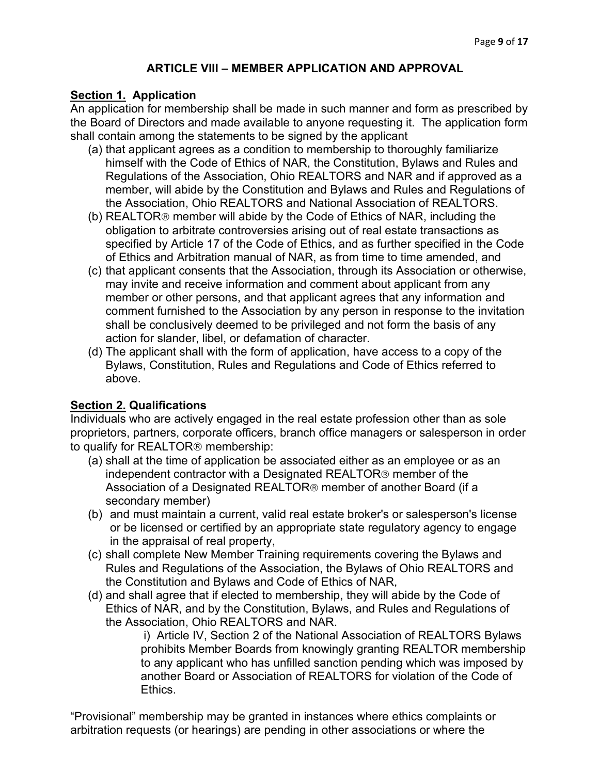# **ARTICLE VIII – MEMBER APPLICATION AND APPROVAL**

# **Section 1. Application**

An application for membership shall be made in such manner and form as prescribed by the Board of Directors and made available to anyone requesting it. The application form shall contain among the statements to be signed by the applicant

- (a) that applicant agrees as a condition to membership to thoroughly familiarize himself with the Code of Ethics of NAR, the Constitution, Bylaws and Rules and Regulations of the Association, Ohio REALTORS and NAR and if approved as a member, will abide by the Constitution and Bylaws and Rules and Regulations of the Association, Ohio REALTORS and National Association of REALTORS.
- (b) REALTOR<sup>®</sup> member will abide by the Code of Ethics of NAR, including the obligation to arbitrate controversies arising out of real estate transactions as specified by Article 17 of the Code of Ethics, and as further specified in the Code of Ethics and Arbitration manual of NAR, as from time to time amended, and
- (c) that applicant consents that the Association, through its Association or otherwise, may invite and receive information and comment about applicant from any member or other persons, and that applicant agrees that any information and comment furnished to the Association by any person in response to the invitation shall be conclusively deemed to be privileged and not form the basis of any action for slander, libel, or defamation of character.
- (d) The applicant shall with the form of application, have access to a copy of the Bylaws, Constitution, Rules and Regulations and Code of Ethics referred to above.

# **Section 2. Qualifications**

Individuals who are actively engaged in the real estate profession other than as sole proprietors, partners, corporate officers, branch office managers or salesperson in order to qualify for REALTOR<sup>®</sup> membership:

- (a) shall at the time of application be associated either as an employee or as an independent contractor with a Designated REALTOR<sup>®</sup> member of the Association of a Designated REALTOR<sup>®</sup> member of another Board (if a secondary member)
- (b) and must maintain a current, valid real estate broker's or salesperson's license or be licensed or certified by an appropriate state regulatory agency to engage in the appraisal of real property,
- (c) shall complete New Member Training requirements covering the Bylaws and Rules and Regulations of the Association, the Bylaws of Ohio REALTORS and the Constitution and Bylaws and Code of Ethics of NAR,
- (d) and shall agree that if elected to membership, they will abide by the Code of Ethics of NAR, and by the Constitution, Bylaws, and Rules and Regulations of the Association, Ohio REALTORS and NAR.

i) Article IV, Section 2 of the National Association of REALTORS Bylaws prohibits Member Boards from knowingly granting REALTOR membership to any applicant who has unfilled sanction pending which was imposed by another Board or Association of REALTORS for violation of the Code of **Ethics** 

"Provisional" membership may be granted in instances where ethics complaints or arbitration requests (or hearings) are pending in other associations or where the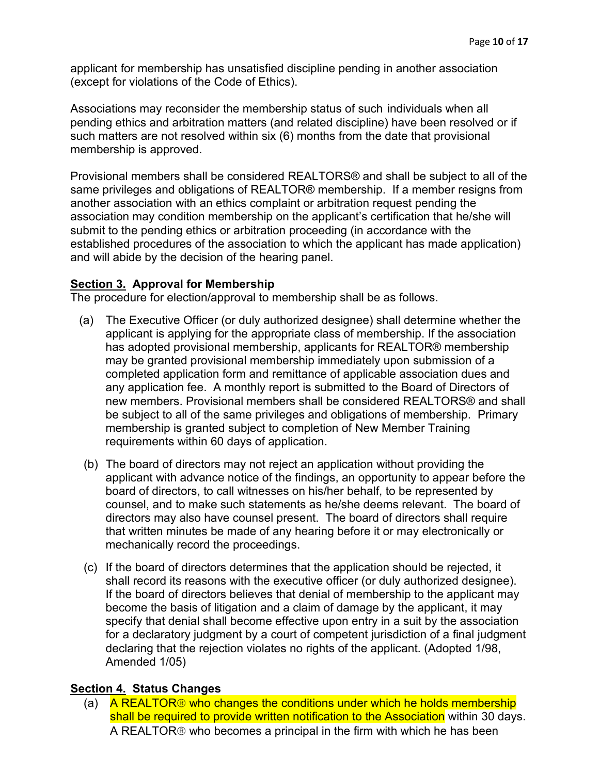applicant for membership has unsatisfied discipline pending in another association (except for violations of the Code of Ethics).

Associations may reconsider the membership status of such individuals when all pending ethics and arbitration matters (and related discipline) have been resolved or if such matters are not resolved within six (6) months from the date that provisional membership is approved.

Provisional members shall be considered REALTORS® and shall be subject to all of the same privileges and obligations of REALTOR® membership. If a member resigns from another association with an ethics complaint or arbitration request pending the association may condition membership on the applicant's certification that he/she will submit to the pending ethics or arbitration proceeding (in accordance with the established procedures of the association to which the applicant has made application) and will abide by the decision of the hearing panel.

### **Section 3. Approval for Membership**

The procedure for election/approval to membership shall be as follows.

- (a) The Executive Officer (or duly authorized designee) shall determine whether the applicant is applying for the appropriate class of membership. If the association has adopted provisional membership, applicants for REALTOR® membership may be granted provisional membership immediately upon submission of a completed application form and remittance of applicable association dues and any application fee. A monthly report is submitted to the Board of Directors of new members. Provisional members shall be considered REALTORS® and shall be subject to all of the same privileges and obligations of membership. Primary membership is granted subject to completion of New Member Training requirements within 60 days of application.
- (b) The board of directors may not reject an application without providing the applicant with advance notice of the findings, an opportunity to appear before the board of directors, to call witnesses on his/her behalf, to be represented by counsel, and to make such statements as he/she deems relevant. The board of directors may also have counsel present. The board of directors shall require that written minutes be made of any hearing before it or may electronically or mechanically record the proceedings.
- (c) If the board of directors determines that the application should be rejected, it shall record its reasons with the executive officer (or duly authorized designee). If the board of directors believes that denial of membership to the applicant may become the basis of litigation and a claim of damage by the applicant, it may specify that denial shall become effective upon entry in a suit by the association for a declaratory judgment by a court of competent jurisdiction of a final judgment declaring that the rejection violates no rights of the applicant. (Adopted 1/98, Amended 1/05)

#### **Section 4. Status Changes**

(a) A REALTOR<sup>®</sup> who changes the conditions under which he holds membership shall be required to provide written notification to the Association within 30 days. A REALTOR® who becomes a principal in the firm with which he has been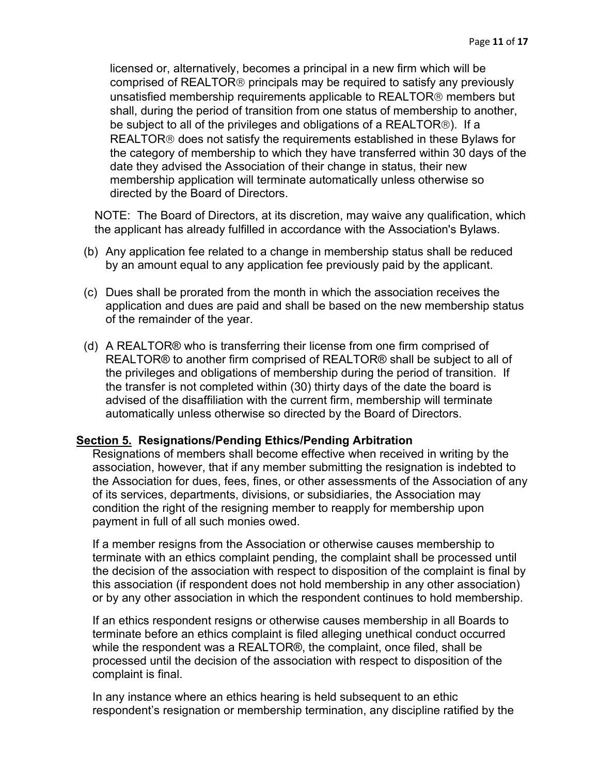licensed or, alternatively, becomes a principal in a new firm which will be comprised of REALTOR<sup>®</sup> principals may be required to satisfy any previously unsatisfied membership requirements applicable to REALTOR® members but shall, during the period of transition from one status of membership to another, be subject to all of the privileges and obligations of a REALTOR). If a REALTOR<sup>®</sup> does not satisfy the requirements established in these Bylaws for the category of membership to which they have transferred within 30 days of the date they advised the Association of their change in status, their new membership application will terminate automatically unless otherwise so directed by the Board of Directors.

NOTE: The Board of Directors, at its discretion, may waive any qualification, which the applicant has already fulfilled in accordance with the Association's Bylaws.

- (b) Any application fee related to a change in membership status shall be reduced by an amount equal to any application fee previously paid by the applicant.
- (c) Dues shall be prorated from the month in which the association receives the application and dues are paid and shall be based on the new membership status of the remainder of the year.
- (d) A REALTOR® who is transferring their license from one firm comprised of REALTOR® to another firm comprised of REALTOR® shall be subject to all of the privileges and obligations of membership during the period of transition. If the transfer is not completed within (30) thirty days of the date the board is advised of the disaffiliation with the current firm, membership will terminate automatically unless otherwise so directed by the Board of Directors.

#### **Section 5. Resignations/Pending Ethics/Pending Arbitration**

Resignations of members shall become effective when received in writing by the association, however, that if any member submitting the resignation is indebted to the Association for dues, fees, fines, or other assessments of the Association of any of its services, departments, divisions, or subsidiaries, the Association may condition the right of the resigning member to reapply for membership upon payment in full of all such monies owed.

If a member resigns from the Association or otherwise causes membership to terminate with an ethics complaint pending, the complaint shall be processed until the decision of the association with respect to disposition of the complaint is final by this association (if respondent does not hold membership in any other association) or by any other association in which the respondent continues to hold membership.

If an ethics respondent resigns or otherwise causes membership in all Boards to terminate before an ethics complaint is filed alleging unethical conduct occurred while the respondent was a REALTOR®, the complaint, once filed, shall be processed until the decision of the association with respect to disposition of the complaint is final.

In any instance where an ethics hearing is held subsequent to an ethic respondent's resignation or membership termination, any discipline ratified by the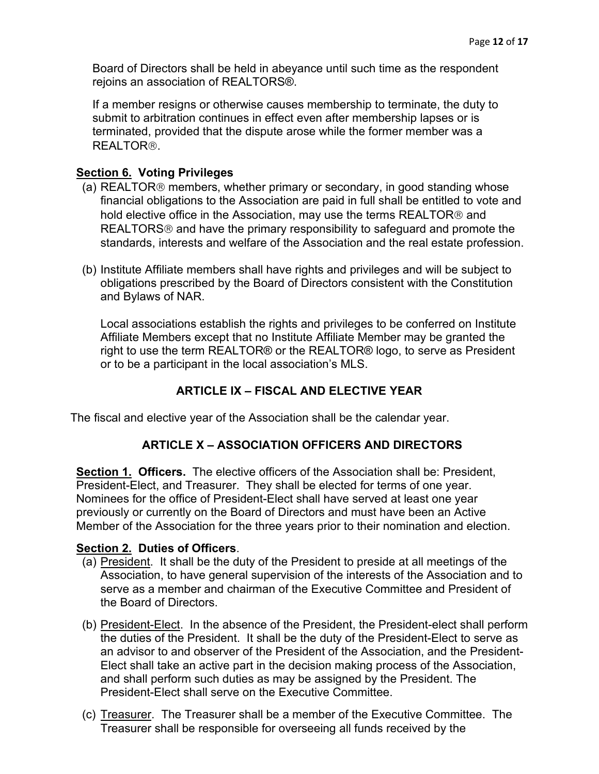Board of Directors shall be held in abeyance until such time as the respondent rejoins an association of REALTORS®.

If a member resigns or otherwise causes membership to terminate, the duty to submit to arbitration continues in effect even after membership lapses or is terminated, provided that the dispute arose while the former member was a REALTOR<sup>®</sup>.

### **Section 6. Voting Privileges**

- (a) REALTOR<sup>®</sup> members, whether primary or secondary, in good standing whose financial obligations to the Association are paid in full shall be entitled to vote and hold elective office in the Association, may use the terms REALTOR<sup>®</sup> and REALTORS<sup>®</sup> and have the primary responsibility to safeguard and promote the standards, interests and welfare of the Association and the real estate profession.
- (b) Institute Affiliate members shall have rights and privileges and will be subject to obligations prescribed by the Board of Directors consistent with the Constitution and Bylaws of NAR.

Local associations establish the rights and privileges to be conferred on Institute Affiliate Members except that no Institute Affiliate Member may be granted the right to use the term REALTOR® or the REALTOR® logo, to serve as President or to be a participant in the local association's MLS.

# **ARTICLE IX – FISCAL AND ELECTIVE YEAR**

The fiscal and elective year of the Association shall be the calendar year.

#### **ARTICLE X – ASSOCIATION OFFICERS AND DIRECTORS**

**Section 1. Officers.** The elective officers of the Association shall be: President. President-Elect, and Treasurer. They shall be elected for terms of one year. Nominees for the office of President-Elect shall have served at least one year previously or currently on the Board of Directors and must have been an Active Member of the Association for the three years prior to their nomination and election.

#### **Section 2. Duties of Officers**.

- (a) President. It shall be the duty of the President to preside at all meetings of the Association, to have general supervision of the interests of the Association and to serve as a member and chairman of the Executive Committee and President of the Board of Directors.
- (b) President-Elect. In the absence of the President, the President-elect shall perform the duties of the President. It shall be the duty of the President-Elect to serve as an advisor to and observer of the President of the Association, and the President-Elect shall take an active part in the decision making process of the Association, and shall perform such duties as may be assigned by the President. The President-Elect shall serve on the Executive Committee.
- (c) Treasurer. The Treasurer shall be a member of the Executive Committee. The Treasurer shall be responsible for overseeing all funds received by the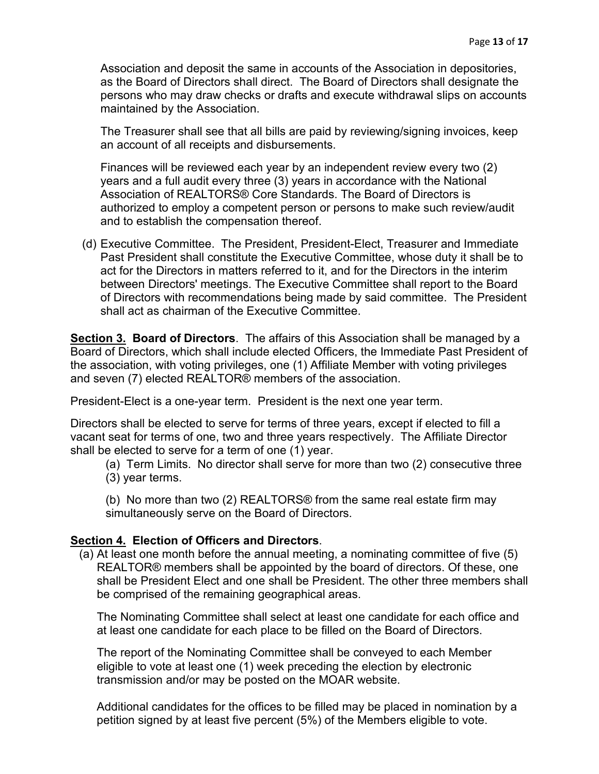Association and deposit the same in accounts of the Association in depositories, as the Board of Directors shall direct. The Board of Directors shall designate the persons who may draw checks or drafts and execute withdrawal slips on accounts maintained by the Association.

The Treasurer shall see that all bills are paid by reviewing/signing invoices, keep an account of all receipts and disbursements.

Finances will be reviewed each year by an independent review every two (2) years and a full audit every three (3) years in accordance with the National Association of REALTORS® Core Standards. The Board of Directors is authorized to employ a competent person or persons to make such review/audit and to establish the compensation thereof.

(d) Executive Committee. The President, President-Elect, Treasurer and Immediate Past President shall constitute the Executive Committee, whose duty it shall be to act for the Directors in matters referred to it, and for the Directors in the interim between Directors' meetings. The Executive Committee shall report to the Board of Directors with recommendations being made by said committee. The President shall act as chairman of the Executive Committee.

**Section 3. Board of Directors**. The affairs of this Association shall be managed by a Board of Directors, which shall include elected Officers, the Immediate Past President of the association, with voting privileges, one (1) Affiliate Member with voting privileges and seven (7) elected REALTOR® members of the association.

President-Elect is a one-year term. President is the next one year term.

Directors shall be elected to serve for terms of three years, except if elected to fill a vacant seat for terms of one, two and three years respectively. The Affiliate Director shall be elected to serve for a term of one (1) year.

(a) Term Limits. No director shall serve for more than two (2) consecutive three (3) year terms.

(b) No more than two (2) REALTORS® from the same real estate firm may simultaneously serve on the Board of Directors.

## **Section 4. Election of Officers and Directors**.

(a) At least one month before the annual meeting, a nominating committee of five (5) REALTOR® members shall be appointed by the board of directors. Of these, one shall be President Elect and one shall be President. The other three members shall be comprised of the remaining geographical areas.

The Nominating Committee shall select at least one candidate for each office and at least one candidate for each place to be filled on the Board of Directors.

The report of the Nominating Committee shall be conveyed to each Member eligible to vote at least one (1) week preceding the election by electronic transmission and/or may be posted on the MOAR website.

Additional candidates for the offices to be filled may be placed in nomination by a petition signed by at least five percent (5%) of the Members eligible to vote.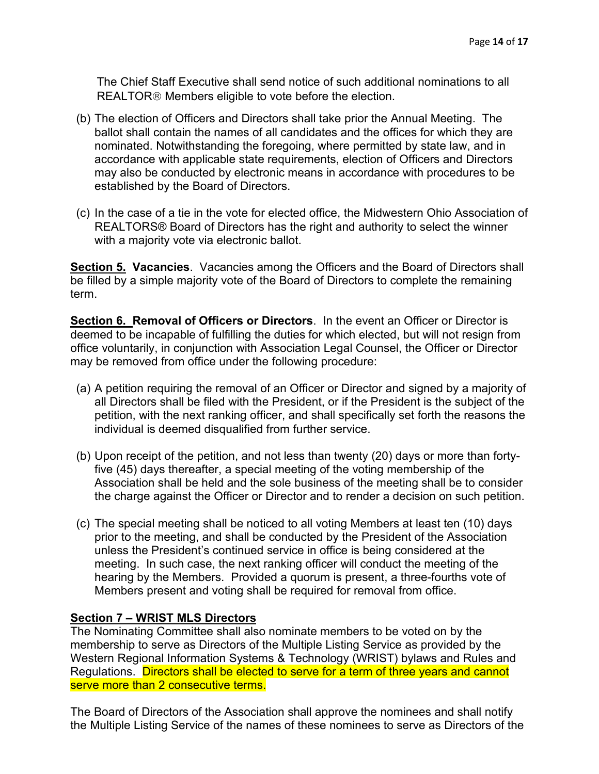The Chief Staff Executive shall send notice of such additional nominations to all REALTOR<sup>®</sup> Members eligible to vote before the election.

- (b) The election of Officers and Directors shall take prior the Annual Meeting. The ballot shall contain the names of all candidates and the offices for which they are nominated. Notwithstanding the foregoing, where permitted by state law, and in accordance with applicable state requirements, election of Officers and Directors may also be conducted by electronic means in accordance with procedures to be established by the Board of Directors.
- (c) In the case of a tie in the vote for elected office, the Midwestern Ohio Association of REALTORS® Board of Directors has the right and authority to select the winner with a majority vote via electronic ballot.

**Section 5. Vacancies**. Vacancies among the Officers and the Board of Directors shall be filled by a simple majority vote of the Board of Directors to complete the remaining term.

**Section 6. Removal of Officers or Directors**. In the event an Officer or Director is deemed to be incapable of fulfilling the duties for which elected, but will not resign from office voluntarily, in conjunction with Association Legal Counsel, the Officer or Director may be removed from office under the following procedure:

- (a) A petition requiring the removal of an Officer or Director and signed by a majority of all Directors shall be filed with the President, or if the President is the subject of the petition, with the next ranking officer, and shall specifically set forth the reasons the individual is deemed disqualified from further service.
- (b) Upon receipt of the petition, and not less than twenty (20) days or more than fortyfive (45) days thereafter, a special meeting of the voting membership of the Association shall be held and the sole business of the meeting shall be to consider the charge against the Officer or Director and to render a decision on such petition.
- (c) The special meeting shall be noticed to all voting Members at least ten (10) days prior to the meeting, and shall be conducted by the President of the Association unless the President's continued service in office is being considered at the meeting. In such case, the next ranking officer will conduct the meeting of the hearing by the Members. Provided a quorum is present, a three-fourths vote of Members present and voting shall be required for removal from office.

## **Section 7 – WRIST MLS Directors**

The Nominating Committee shall also nominate members to be voted on by the membership to serve as Directors of the Multiple Listing Service as provided by the Western Regional Information Systems & Technology (WRIST) bylaws and Rules and Regulations. Directors shall be elected to serve for a term of three years and cannot serve more than 2 consecutive terms.

The Board of Directors of the Association shall approve the nominees and shall notify the Multiple Listing Service of the names of these nominees to serve as Directors of the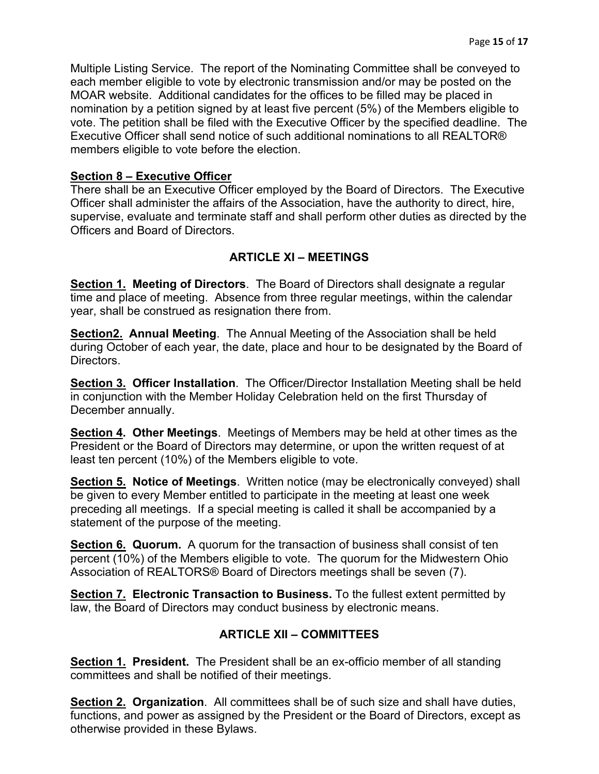Multiple Listing Service. The report of the Nominating Committee shall be conveyed to each member eligible to vote by electronic transmission and/or may be posted on the MOAR website. Additional candidates for the offices to be filled may be placed in nomination by a petition signed by at least five percent (5%) of the Members eligible to vote. The petition shall be filed with the Executive Officer by the specified deadline. The Executive Officer shall send notice of such additional nominations to all REALTOR® members eligible to vote before the election.

# **Section 8 – Executive Officer**

There shall be an Executive Officer employed by the Board of Directors. The Executive Officer shall administer the affairs of the Association, have the authority to direct, hire, supervise, evaluate and terminate staff and shall perform other duties as directed by the Officers and Board of Directors.

# **ARTICLE XI – MEETINGS**

**Section 1. Meeting of Directors**. The Board of Directors shall designate a regular time and place of meeting. Absence from three regular meetings, within the calendar year, shall be construed as resignation there from.

**Section2. Annual Meeting**. The Annual Meeting of the Association shall be held during October of each year, the date, place and hour to be designated by the Board of Directors.

**Section 3. Officer Installation**. The Officer/Director Installation Meeting shall be held in conjunction with the Member Holiday Celebration held on the first Thursday of December annually.

**Section 4. Other Meetings**. Meetings of Members may be held at other times as the President or the Board of Directors may determine, or upon the written request of at least ten percent (10%) of the Members eligible to vote.

**Section 5. Notice of Meetings**. Written notice (may be electronically conveyed) shall be given to every Member entitled to participate in the meeting at least one week preceding all meetings. If a special meeting is called it shall be accompanied by a statement of the purpose of the meeting.

**Section 6. Quorum.** A quorum for the transaction of business shall consist of ten percent (10%) of the Members eligible to vote. The quorum for the Midwestern Ohio Association of REALTORS® Board of Directors meetings shall be seven (7).

**Section 7. Electronic Transaction to Business.** To the fullest extent permitted by law, the Board of Directors may conduct business by electronic means.

# **ARTICLE XII – COMMITTEES**

**Section 1. President.** The President shall be an ex-officio member of all standing committees and shall be notified of their meetings.

**Section 2. Organization**. All committees shall be of such size and shall have duties, functions, and power as assigned by the President or the Board of Directors, except as otherwise provided in these Bylaws.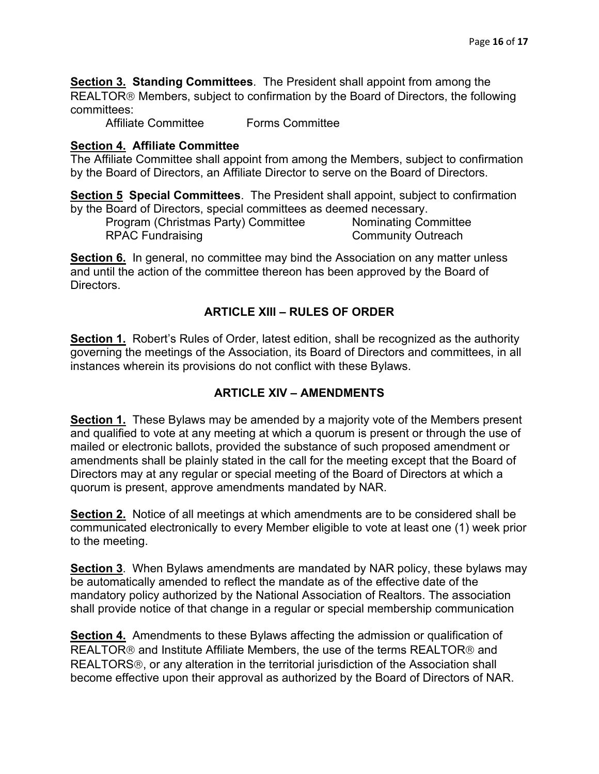**Section 3. Standing Committees**. The President shall appoint from among the REALTOR<sup>®</sup> Members, subject to confirmation by the Board of Directors, the following committees:

Affiliate Committee Forms Committee

#### **Section 4. Affiliate Committee**

The Affiliate Committee shall appoint from among the Members, subject to confirmation by the Board of Directors, an Affiliate Director to serve on the Board of Directors.

**Section 5 Special Committees**. The President shall appoint, subject to confirmation by the Board of Directors, special committees as deemed necessary.

Program (Christmas Party) Committee Nominating Committee RPAC Fundraising **Community Outreach** 

**Section 6.** In general, no committee may bind the Association on any matter unless and until the action of the committee thereon has been approved by the Board of **Directors** 

### **ARTICLE XIII – RULES OF ORDER**

**Section 1.** Robert's Rules of Order, latest edition, shall be recognized as the authority governing the meetings of the Association, its Board of Directors and committees, in all instances wherein its provisions do not conflict with these Bylaws.

#### **ARTICLE XIV – AMENDMENTS**

**Section 1.** These Bylaws may be amended by a majority vote of the Members present and qualified to vote at any meeting at which a quorum is present or through the use of mailed or electronic ballots, provided the substance of such proposed amendment or amendments shall be plainly stated in the call for the meeting except that the Board of Directors may at any regular or special meeting of the Board of Directors at which a quorum is present, approve amendments mandated by NAR.

**Section 2.** Notice of all meetings at which amendments are to be considered shall be communicated electronically to every Member eligible to vote at least one (1) week prior to the meeting.

**Section 3**. When Bylaws amendments are mandated by NAR policy, these bylaws may be automatically amended to reflect the mandate as of the effective date of the mandatory policy authorized by the National Association of Realtors. The association shall provide notice of that change in a regular or special membership communication

**Section 4.** Amendments to these Bylaws affecting the admission or qualification of REALTOR<sup>®</sup> and Institute Affiliate Members, the use of the terms REALTOR<sup>®</sup> and REALTORS<sup>®</sup>, or any alteration in the territorial jurisdiction of the Association shall become effective upon their approval as authorized by the Board of Directors of NAR.